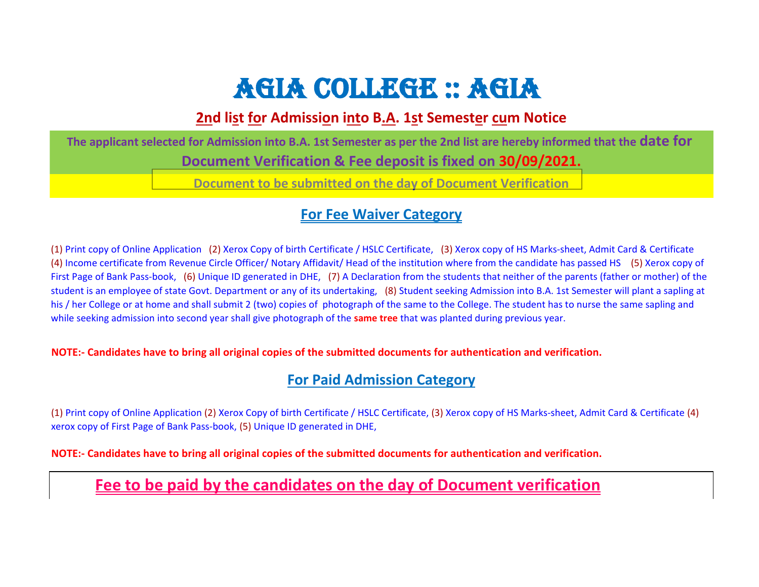# AGIA COLLEGE :: AGIA

### **2nd list for Admission into B.A. 1st Semester cum Notice**

**The applicant selected for Admission into B.A. 1st Semester as per the 2nd list are hereby informed that the date for Document Verification & Fee deposit is fixed on 30/09/2021. Document to be submitted on the day of Document Verification**

#### **For Fee Waiver Category**

(1) Print copy of Online Application (2) Xerox Copy of birth Certificate / HSLC Certificate, (3) Xerox copy of HS Marks-sheet, Admit Card & Certificate (4) Income certificate from Revenue Circle Officer/ Notary Affidavit/ Head of the institution where from the candidate has passed HS (5) Xerox copy of First Page of Bank Pass-book, (6) Unique ID generated in DHE, (7) A Declaration from the students that neither of the parents (father or mother) of the student is an employee of state Govt. Department or any of its undertaking, (8) Student seeking Admission into B.A. 1st Semester will plant a sapling at his / her College or at home and shall submit 2 (two) copies of photograph of the same to the College. The student has to nurse the same sapling and while seeking admission into second year shall give photograph of the **same tree** that was planted during previous year.

**NOTE:- Candidates have to bring all original copies of the submitted documents for authentication and verification.**

### **For Paid Admission Category**

(1) Print copy of Online Application (2) Xerox Copy of birth Certificate / HSLC Certificate, (3) Xerox copy of HS Marks-sheet, Admit Card & Certificate (4) xerox copy of First Page of Bank Pass-book, (5) Unique ID generated in DHE,

**NOTE:- Candidates have to bring all original copies of the submitted documents for authentication and verification.**

## **Fee to be paid by the candidates on the day of Document verification**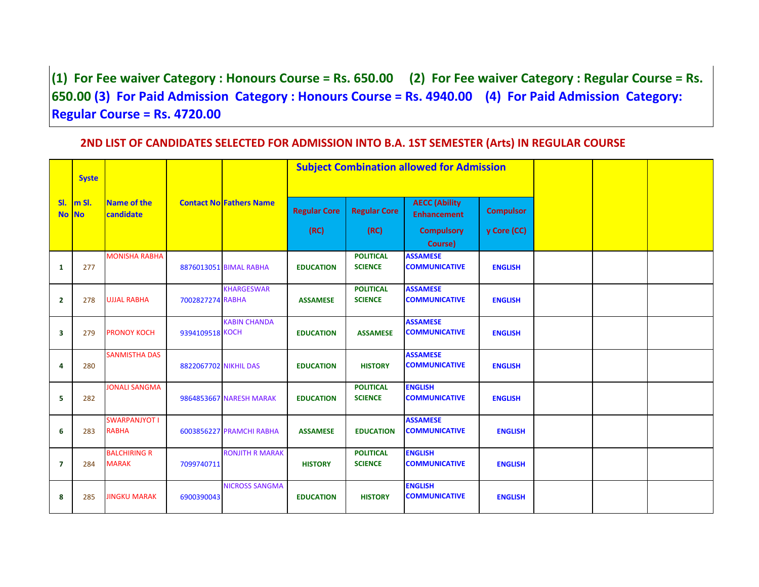**(1) For Fee waiver Category : Honours Course = Rs. 650.00 (2) For Fee waiver Category : Regular Course = Rs. 650.00 (3) For Paid Admission Category : Honours Course = Rs. 4940.00 (4) For Paid Admission Category: Regular Course = Rs. 4720.00**

#### **2ND LIST OF CANDIDATES SELECTED FOR ADMISSION INTO B.A. 1ST SEMESTER (Arts) IN REGULAR COURSE**

|                         | <b>Syste</b> |                                      |                       |                                |                             |                                    | <b>Subject Combination allowed for Admission</b>                           |                                 |  |  |
|-------------------------|--------------|--------------------------------------|-----------------------|--------------------------------|-----------------------------|------------------------------------|----------------------------------------------------------------------------|---------------------------------|--|--|
| SI.<br>No No            | m SI.        | Name of the<br>candidate             |                       | <b>Contact No Fathers Name</b> | <b>Regular Core</b><br>(RC) | <b>Regular Core</b><br>(RC)        | <b>AECC (Ability</b><br><b>Enhancement</b><br><b>Compulsory</b><br>Course) | <b>Compulsor</b><br>y Core (CC) |  |  |
|                         |              | <b>MONISHA RABHA</b>                 |                       |                                |                             | <b>POLITICAL</b>                   | <b>ASSAMESE</b>                                                            |                                 |  |  |
| $\mathbf{1}$            | 277          |                                      |                       | 8876013051 BIMAL RABHA         | <b>EDUCATION</b>            | <b>SCIENCE</b>                     | <b>COMMUNICATIVE</b>                                                       | <b>ENGLISH</b>                  |  |  |
| $\overline{2}$          | 278          | <b>UJJAL RABHA</b>                   | 7002827274 RABHA      | <b>KHARGESWAR</b>              | <b>ASSAMESE</b>             | <b>POLITICAL</b><br><b>SCIENCE</b> | <b>ASSAMESE</b><br><b>COMMUNICATIVE</b>                                    | <b>ENGLISH</b>                  |  |  |
|                         |              |                                      |                       |                                |                             |                                    |                                                                            |                                 |  |  |
| $\overline{\mathbf{3}}$ | 279          | <b>PRONOY KOCH</b>                   | 9394109518 KOCH       | <b>KABIN CHANDA</b>            | <b>EDUCATION</b>            | <b>ASSAMESE</b>                    | <b>ASSAMESE</b><br><b>COMMUNICATIVE</b>                                    | <b>ENGLISH</b>                  |  |  |
| 4                       | 280          | <b>SANMISTHA DAS</b>                 | 8822067702 NIKHIL DAS |                                | <b>EDUCATION</b>            | <b>HISTORY</b>                     | <b>ASSAMESE</b><br><b>COMMUNICATIVE</b>                                    | <b>ENGLISH</b>                  |  |  |
| 5                       | 282          | <b>JONALI SANGMA</b>                 |                       | <b>9864853667 NARESH MARAK</b> | <b>EDUCATION</b>            | <b>POLITICAL</b><br><b>SCIENCE</b> | <b>ENGLISH</b><br><b>COMMUNICATIVE</b>                                     | <b>ENGLISH</b>                  |  |  |
| 6                       | 283          | <b>SWARPANJYOT I</b><br><b>RABHA</b> |                       | 6003856227 PRAMCHI RABHA       | <b>ASSAMESE</b>             | <b>EDUCATION</b>                   | <b>ASSAMESE</b><br><b>COMMUNICATIVE</b>                                    | <b>ENGLISH</b>                  |  |  |
| $\overline{7}$          | 284          | <b>BALCHIRING R</b><br><b>MARAK</b>  | 7099740711            | <b>RONJITH R MARAK</b>         | <b>HISTORY</b>              | <b>POLITICAL</b><br><b>SCIENCE</b> | <b>ENGLISH</b><br><b>COMMUNICATIVE</b>                                     | <b>ENGLISH</b>                  |  |  |
| 8                       | 285          | <b>JINGKU MARAK</b>                  | 6900390043            | <b>NICROSS SANGMA</b>          | <b>EDUCATION</b>            | <b>HISTORY</b>                     | <b>ENGLISH</b><br><b>COMMUNICATIVE</b>                                     | <b>ENGLISH</b>                  |  |  |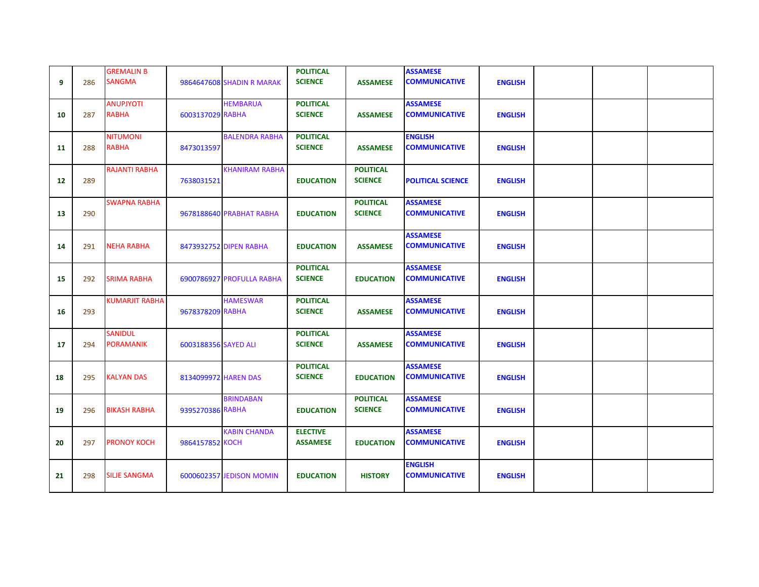| 9  | 286 | <b>GREMALIN B</b><br><b>SANGMA</b> |                      | 9864647608 SHADIN R MARAK | <b>POLITICAL</b><br><b>SCIENCE</b> | <b>ASSAMESE</b>                    | <b>ASSAMESE</b><br><b>COMMUNICATIVE</b> | <b>ENGLISH</b> |  |  |
|----|-----|------------------------------------|----------------------|---------------------------|------------------------------------|------------------------------------|-----------------------------------------|----------------|--|--|
| 10 | 287 | <b>ANUPJYOTI</b><br><b>RABHA</b>   | 6003137029 RABHA     | <b>HEMBARUA</b>           | <b>POLITICAL</b><br><b>SCIENCE</b> | <b>ASSAMESE</b>                    | <b>ASSAMESE</b><br><b>COMMUNICATIVE</b> | <b>ENGLISH</b> |  |  |
| 11 | 288 | <b>NITUMONI</b><br><b>RABHA</b>    | 8473013597           | <b>BALENDRA RABHA</b>     | <b>POLITICAL</b><br><b>SCIENCE</b> | <b>ASSAMESE</b>                    | <b>ENGLISH</b><br><b>COMMUNICATIVE</b>  | <b>ENGLISH</b> |  |  |
| 12 | 289 | <b>RAJANTI RABHA</b>               | 7638031521           | <b>KHANIRAM RABHA</b>     | <b>EDUCATION</b>                   | <b>POLITICAL</b><br><b>SCIENCE</b> | <b>POLITICAL SCIENCE</b>                | <b>ENGLISH</b> |  |  |
| 13 | 290 | <b>SWAPNA RABHA</b>                |                      | 9678188640 PRABHAT RABHA  | <b>EDUCATION</b>                   | <b>POLITICAL</b><br><b>SCIENCE</b> | <b>ASSAMESE</b><br><b>COMMUNICATIVE</b> | <b>ENGLISH</b> |  |  |
| 14 | 291 | <b>NEHA RABHA</b>                  |                      | 8473932752 DIPEN RABHA    | <b>EDUCATION</b>                   | <b>ASSAMESE</b>                    | <b>ASSAMESE</b><br><b>COMMUNICATIVE</b> | <b>ENGLISH</b> |  |  |
| 15 | 292 | <b>SRIMA RABHA</b>                 |                      | 6900786927 PROFULLA RABHA | <b>POLITICAL</b><br><b>SCIENCE</b> | <b>EDUCATION</b>                   | <b>ASSAMESE</b><br><b>COMMUNICATIVE</b> | <b>ENGLISH</b> |  |  |
| 16 | 293 | <b>KUMARJIT RABHA</b>              | 9678378209 RABHA     | <b>HAMESWAR</b>           | <b>POLITICAL</b><br><b>SCIENCE</b> | <b>ASSAMESE</b>                    | <b>ASSAMESE</b><br><b>COMMUNICATIVE</b> | <b>ENGLISH</b> |  |  |
| 17 | 294 | <b>SANIDUL</b><br><b>PORAMANIK</b> | 6003188356 SAYED ALI |                           | <b>POLITICAL</b><br><b>SCIENCE</b> | <b>ASSAMESE</b>                    | <b>ASSAMESE</b><br><b>COMMUNICATIVE</b> | <b>ENGLISH</b> |  |  |
| 18 | 295 | <b>KALYAN DAS</b>                  | 8134099972 HAREN DAS |                           | <b>POLITICAL</b><br><b>SCIENCE</b> | <b>EDUCATION</b>                   | <b>ASSAMESE</b><br><b>COMMUNICATIVE</b> | <b>ENGLISH</b> |  |  |
| 19 | 296 | <b>BIKASH RABHA</b>                | 9395270386 RABHA     | <b>BRINDABAN</b>          | <b>EDUCATION</b>                   | <b>POLITICAL</b><br><b>SCIENCE</b> | <b>ASSAMESE</b><br><b>COMMUNICATIVE</b> | <b>ENGLISH</b> |  |  |
| 20 | 297 | <b>PRONOY KOCH</b>                 | 9864157852 KOCH      | <b>KABIN CHANDA</b>       | <b>ELECTIVE</b><br><b>ASSAMESE</b> | <b>EDUCATION</b>                   | <b>ASSAMESE</b><br><b>COMMUNICATIVE</b> | <b>ENGLISH</b> |  |  |
| 21 | 298 | <b>SILJE SANGMA</b>                |                      | 6000602357 JEDISON MOMIN  | <b>EDUCATION</b>                   | <b>HISTORY</b>                     | <b>ENGLISH</b><br><b>COMMUNICATIVE</b>  | <b>ENGLISH</b> |  |  |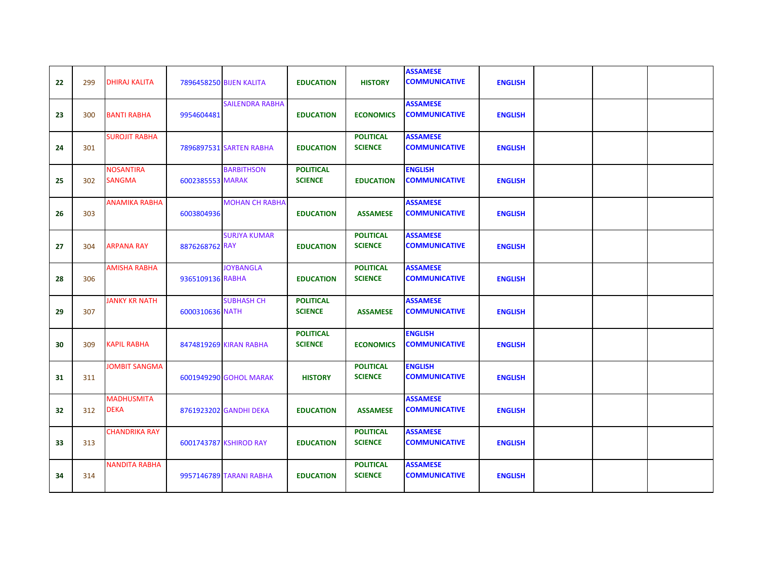| 22 | 299 | <b>DHIRAJ KALITA</b>              |                  | 7896458250 BIJEN KALITA | <b>EDUCATION</b>                   | <b>HISTORY</b>                     | <b>ASSAMESE</b><br><b>COMMUNICATIVE</b> | <b>ENGLISH</b> |  |  |
|----|-----|-----------------------------------|------------------|-------------------------|------------------------------------|------------------------------------|-----------------------------------------|----------------|--|--|
| 23 | 300 | <b>BANTI RABHA</b>                | 9954604481       | <b>SAILENDRA RABHA</b>  | <b>EDUCATION</b>                   | <b>ECONOMICS</b>                   | <b>ASSAMESE</b><br><b>COMMUNICATIVE</b> | <b>ENGLISH</b> |  |  |
| 24 | 301 | <b>SUROJIT RABHA</b>              |                  | 7896897531 SARTEN RABHA | <b>EDUCATION</b>                   | <b>POLITICAL</b><br><b>SCIENCE</b> | <b>ASSAMESE</b><br><b>COMMUNICATIVE</b> | <b>ENGLISH</b> |  |  |
| 25 | 302 | <b>NOSANTIRA</b><br><b>SANGMA</b> | 6002385553 MARAK | <b>BARBITHSON</b>       | <b>POLITICAL</b><br><b>SCIENCE</b> | <b>EDUCATION</b>                   | <b>ENGLISH</b><br><b>COMMUNICATIVE</b>  | <b>ENGLISH</b> |  |  |
| 26 | 303 | <b>ANAMIKA RABHA</b>              | 6003804936       | <b>MOHAN CH RABHA</b>   | <b>EDUCATION</b>                   | <b>ASSAMESE</b>                    | <b>ASSAMESE</b><br><b>COMMUNICATIVE</b> | <b>ENGLISH</b> |  |  |
| 27 | 304 | <b>ARPANA RAY</b>                 | 8876268762 RAY   | <b>SURJYA KUMAR</b>     | <b>EDUCATION</b>                   | <b>POLITICAL</b><br><b>SCIENCE</b> | <b>ASSAMESE</b><br><b>COMMUNICATIVE</b> | <b>ENGLISH</b> |  |  |
| 28 | 306 | <b>AMISHA RABHA</b>               | 9365109136 RABHA | <b>JOYBANGLA</b>        | <b>EDUCATION</b>                   | <b>POLITICAL</b><br><b>SCIENCE</b> | <b>ASSAMESE</b><br><b>COMMUNICATIVE</b> | <b>ENGLISH</b> |  |  |
| 29 | 307 | <b>JANKY KR NATH</b>              | 6000310636 NATH  | <b>SUBHASH CH</b>       | <b>POLITICAL</b><br><b>SCIENCE</b> | <b>ASSAMESE</b>                    | <b>ASSAMESE</b><br><b>COMMUNICATIVE</b> | <b>ENGLISH</b> |  |  |
| 30 | 309 | <b>KAPIL RABHA</b>                |                  | 8474819269 KIRAN RABHA  | <b>POLITICAL</b><br><b>SCIENCE</b> | <b>ECONOMICS</b>                   | <b>ENGLISH</b><br><b>COMMUNICATIVE</b>  | <b>ENGLISH</b> |  |  |
| 31 | 311 | <b>JOMBIT SANGMA</b>              |                  | 6001949290 GOHOL MARAK  | <b>HISTORY</b>                     | <b>POLITICAL</b><br><b>SCIENCE</b> | <b>ENGLISH</b><br><b>COMMUNICATIVE</b>  | <b>ENGLISH</b> |  |  |
| 32 | 312 | <b>MADHUSMITA</b><br><b>DEKA</b>  |                  | 8761923202 GANDHI DEKA  | <b>EDUCATION</b>                   | <b>ASSAMESE</b>                    | <b>ASSAMESE</b><br><b>COMMUNICATIVE</b> | <b>ENGLISH</b> |  |  |
| 33 | 313 | <b>CHANDRIKA RAY</b>              |                  | 6001743787 KSHIROD RAY  | <b>EDUCATION</b>                   | <b>POLITICAL</b><br><b>SCIENCE</b> | <b>ASSAMESE</b><br><b>COMMUNICATIVE</b> | <b>ENGLISH</b> |  |  |
| 34 | 314 | NANDITA RABHA                     |                  | 9957146789 TARANI RABHA | <b>EDUCATION</b>                   | <b>POLITICAL</b><br><b>SCIENCE</b> | <b>ASSAMESE</b><br><b>COMMUNICATIVE</b> | <b>ENGLISH</b> |  |  |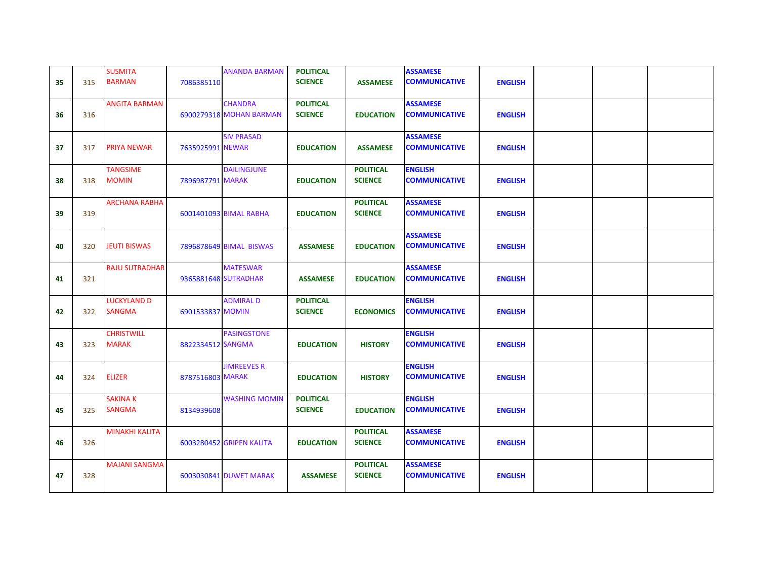| 35 | 315 | <b>SUSMITA</b><br><b>BARMAN</b>     | 7086385110        | <b>ANANDA BARMAN</b>                      | <b>POLITICAL</b><br><b>SCIENCE</b> | <b>ASSAMESE</b>                    | <b>ASSAMESE</b><br><b>COMMUNICATIVE</b> | <b>ENGLISH</b> |  |  |
|----|-----|-------------------------------------|-------------------|-------------------------------------------|------------------------------------|------------------------------------|-----------------------------------------|----------------|--|--|
| 36 | 316 | <b>ANGITA BARMAN</b>                |                   | <b>CHANDRA</b><br>6900279318 MOHAN BARMAN | <b>POLITICAL</b><br><b>SCIENCE</b> | <b>EDUCATION</b>                   | <b>ASSAMESE</b><br><b>COMMUNICATIVE</b> | <b>ENGLISH</b> |  |  |
| 37 | 317 | <b>PRIYA NEWAR</b>                  | 7635925991 NEWAR  | <b>SIV PRASAD</b>                         | <b>EDUCATION</b>                   | <b>ASSAMESE</b>                    | <b>ASSAMESE</b><br><b>COMMUNICATIVE</b> | <b>ENGLISH</b> |  |  |
| 38 | 318 | <b>TANGSIME</b><br><b>MOMIN</b>     | 7896987791 MARAK  | <b>DAILINGJUNE</b>                        | <b>EDUCATION</b>                   | <b>POLITICAL</b><br><b>SCIENCE</b> | <b>ENGLISH</b><br><b>COMMUNICATIVE</b>  | <b>ENGLISH</b> |  |  |
| 39 | 319 | <b>ARCHANA RABHA</b>                |                   | 6001401093 BIMAL RABHA                    | <b>EDUCATION</b>                   | <b>POLITICAL</b><br><b>SCIENCE</b> | <b>ASSAMESE</b><br><b>COMMUNICATIVE</b> | <b>ENGLISH</b> |  |  |
| 40 | 320 | <b>JEUTI BISWAS</b>                 |                   | 7896878649 BIMAL BISWAS                   | <b>ASSAMESE</b>                    | <b>EDUCATION</b>                   | <b>ASSAMESE</b><br><b>COMMUNICATIVE</b> | <b>ENGLISH</b> |  |  |
| 41 | 321 | <b>RAJU SUTRADHAR</b>               |                   | <b>MATESWAR</b><br>9365881648 SUTRADHAR   | <b>ASSAMESE</b>                    | <b>EDUCATION</b>                   | <b>ASSAMESE</b><br><b>COMMUNICATIVE</b> | <b>ENGLISH</b> |  |  |
| 42 | 322 | <b>LUCKYLAND D</b><br><b>SANGMA</b> | 6901533837 MOMIN  | <b>ADMIRAL D</b>                          | <b>POLITICAL</b><br><b>SCIENCE</b> | <b>ECONOMICS</b>                   | <b>ENGLISH</b><br><b>COMMUNICATIVE</b>  | <b>ENGLISH</b> |  |  |
| 43 | 323 | <b>CHRISTWILL</b><br><b>MARAK</b>   | 8822334512 SANGMA | <b>PASINGSTONE</b>                        | <b>EDUCATION</b>                   | <b>HISTORY</b>                     | <b>ENGLISH</b><br><b>COMMUNICATIVE</b>  | <b>ENGLISH</b> |  |  |
| 44 | 324 | <b>ELIZER</b>                       | 8787516803 MARAK  | <b>JIMREEVES R</b>                        | <b>EDUCATION</b>                   | <b>HISTORY</b>                     | <b>ENGLISH</b><br><b>COMMUNICATIVE</b>  | <b>ENGLISH</b> |  |  |
| 45 | 325 | <b>SAKINA K</b><br><b>SANGMA</b>    | 8134939608        | <b>WASHING MOMIN</b>                      | <b>POLITICAL</b><br><b>SCIENCE</b> | <b>EDUCATION</b>                   | <b>ENGLISH</b><br><b>COMMUNICATIVE</b>  | <b>ENGLISH</b> |  |  |
| 46 | 326 | <b>MINAKHI KALITA</b>               |                   | <b>6003280452 GRIPEN KALITA</b>           | <b>EDUCATION</b>                   | <b>POLITICAL</b><br><b>SCIENCE</b> | <b>ASSAMESE</b><br><b>COMMUNICATIVE</b> | <b>ENGLISH</b> |  |  |
| 47 | 328 | <b>MAJANI SANGMA</b>                |                   | 6003030841 DUWET MARAK                    | <b>ASSAMESE</b>                    | <b>POLITICAL</b><br><b>SCIENCE</b> | <b>ASSAMESE</b><br><b>COMMUNICATIVE</b> | <b>ENGLISH</b> |  |  |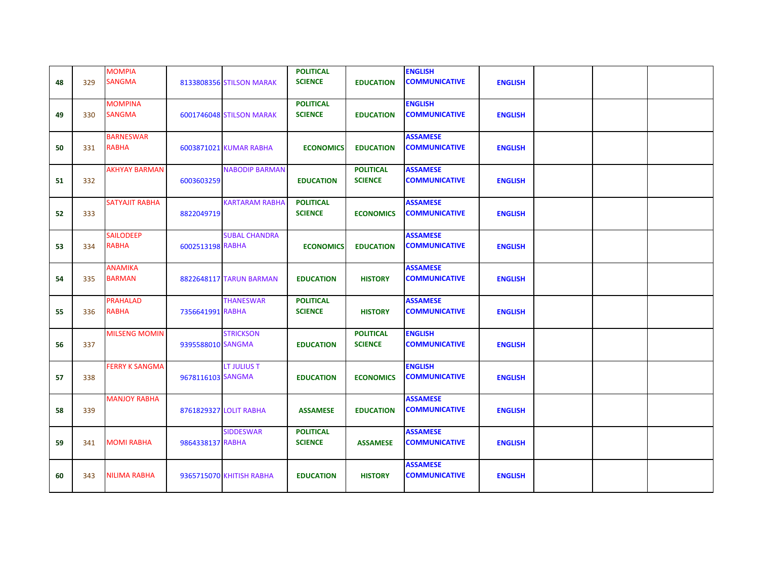| 48 | 329 | <b>MOMPIA</b><br><b>SANGMA</b>   |                   | 8133808356 STILSON MARAK | <b>POLITICAL</b><br><b>SCIENCE</b> | <b>EDUCATION</b>                   | <b>ENGLISH</b><br><b>COMMUNICATIVE</b>  | <b>ENGLISH</b> |  |  |
|----|-----|----------------------------------|-------------------|--------------------------|------------------------------------|------------------------------------|-----------------------------------------|----------------|--|--|
| 49 | 330 | <b>MOMPINA</b><br><b>SANGMA</b>  |                   | 6001746048 STILSON MARAK | <b>POLITICAL</b><br><b>SCIENCE</b> | <b>EDUCATION</b>                   | <b>ENGLISH</b><br><b>COMMUNICATIVE</b>  | <b>ENGLISH</b> |  |  |
| 50 | 331 | <b>BARNESWAR</b><br><b>RABHA</b> |                   | 6003871021 KUMAR RABHA   | <b>ECONOMICS</b>                   | <b>EDUCATION</b>                   | <b>ASSAMESE</b><br><b>COMMUNICATIVE</b> | <b>ENGLISH</b> |  |  |
| 51 | 332 | <b>AKHYAY BARMAN</b>             | 6003603259        | <b>NABODIP BARMAN</b>    | <b>EDUCATION</b>                   | <b>POLITICAL</b><br><b>SCIENCE</b> | <b>ASSAMESE</b><br><b>COMMUNICATIVE</b> | <b>ENGLISH</b> |  |  |
| 52 | 333 | SATYAJIT RABHA                   | 8822049719        | <b>KARTARAM RABHA</b>    | <b>POLITICAL</b><br><b>SCIENCE</b> | <b>ECONOMICS</b>                   | <b>ASSAMESE</b><br><b>COMMUNICATIVE</b> | <b>ENGLISH</b> |  |  |
| 53 | 334 | <b>SAILODEEP</b><br><b>RABHA</b> | 6002513198 RABHA  | <b>SUBAL CHANDRA</b>     | <b>ECONOMICS</b>                   | <b>EDUCATION</b>                   | <b>ASSAMESE</b><br><b>COMMUNICATIVE</b> | <b>ENGLISH</b> |  |  |
| 54 | 335 | <b>ANAMIKA</b><br><b>BARMAN</b>  |                   | 8822648117 TARUN BARMAN  | <b>EDUCATION</b>                   | <b>HISTORY</b>                     | <b>ASSAMESE</b><br><b>COMMUNICATIVE</b> | <b>ENGLISH</b> |  |  |
| 55 | 336 | <b>PRAHALAD</b><br><b>RABHA</b>  | 7356641991 RABHA  | <b>THANESWAR</b>         | <b>POLITICAL</b><br><b>SCIENCE</b> | <b>HISTORY</b>                     | <b>ASSAMESE</b><br><b>COMMUNICATIVE</b> | <b>ENGLISH</b> |  |  |
| 56 | 337 | <b>MILSENG MOMIN</b>             | 9395588010 SANGMA | <b>STRICKSON</b>         | <b>EDUCATION</b>                   | <b>POLITICAL</b><br><b>SCIENCE</b> | <b>ENGLISH</b><br><b>COMMUNICATIVE</b>  | <b>ENGLISH</b> |  |  |
| 57 | 338 | <b>FERRY K SANGMA</b>            | 9678116103 SANGMA | <b>LT JULIUS T</b>       | <b>EDUCATION</b>                   | <b>ECONOMICS</b>                   | <b>ENGLISH</b><br><b>COMMUNICATIVE</b>  | <b>ENGLISH</b> |  |  |
| 58 | 339 | <b>MANJOY RABHA</b>              |                   | 8761829327 LOLIT RABHA   | <b>ASSAMESE</b>                    | <b>EDUCATION</b>                   | <b>ASSAMESE</b><br><b>COMMUNICATIVE</b> | <b>ENGLISH</b> |  |  |
| 59 | 341 | <b>MOMI RABHA</b>                | 9864338137 RABHA  | <b>SIDDESWAR</b>         | <b>POLITICAL</b><br><b>SCIENCE</b> | <b>ASSAMESE</b>                    | <b>ASSAMESE</b><br><b>COMMUNICATIVE</b> | <b>ENGLISH</b> |  |  |
| 60 | 343 | <b>NILIMA RABHA</b>              |                   | 9365715070 KHITISH RABHA | <b>EDUCATION</b>                   | <b>HISTORY</b>                     | <b>ASSAMESE</b><br><b>COMMUNICATIVE</b> | <b>ENGLISH</b> |  |  |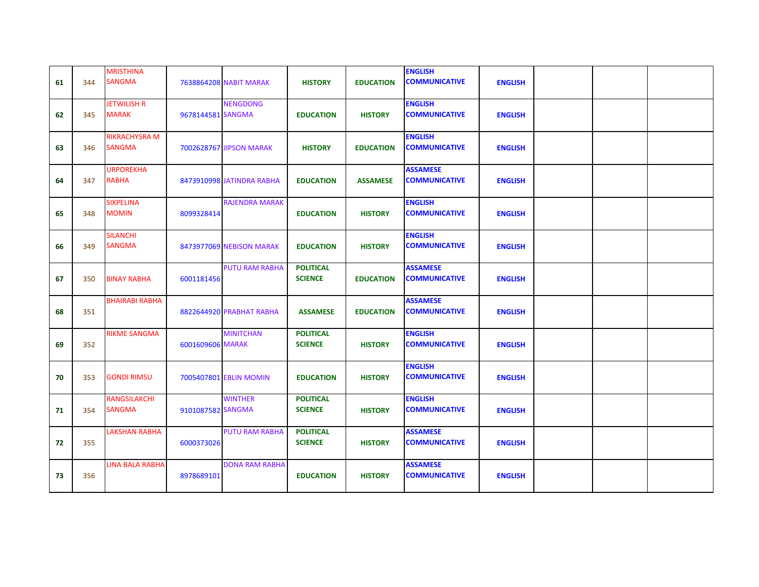| 61 | 344 | <b>MRISTHINA</b><br><b>SANGMA</b>     |                   | 7638864208 NABIT MARAK    | <b>HISTORY</b>                     | <b>EDUCATION</b> | <b>ENGLISH</b><br><b>COMMUNICATIVE</b>  | <b>ENGLISH</b> |  |  |
|----|-----|---------------------------------------|-------------------|---------------------------|------------------------------------|------------------|-----------------------------------------|----------------|--|--|
| 62 | 345 | <b>JETWILISH R</b><br><b>MARAK</b>    | 9678144581 SANGMA | <b>NENGDONG</b>           | <b>EDUCATION</b>                   | <b>HISTORY</b>   | <b>ENGLISH</b><br><b>COMMUNICATIVE</b>  | <b>ENGLISH</b> |  |  |
| 63 | 346 | <b>RIKRACHYSRA M</b><br><b>SANGMA</b> |                   | 7002628767 JIPSON MARAK   | <b>HISTORY</b>                     | <b>EDUCATION</b> | <b>ENGLISH</b><br><b>COMMUNICATIVE</b>  | <b>ENGLISH</b> |  |  |
| 64 | 347 | <b>URPOREKHA</b><br><b>RABHA</b>      |                   | 8473910998 JATINDRA RABHA | <b>EDUCATION</b>                   | <b>ASSAMESE</b>  | <b>ASSAMESE</b><br><b>COMMUNICATIVE</b> | <b>ENGLISH</b> |  |  |
| 65 | 348 | <b>SIXPELINA</b><br><b>MOMIN</b>      | 8099328414        | <b>RAJENDRA MARAK</b>     | <b>EDUCATION</b>                   | <b>HISTORY</b>   | <b>ENGLISH</b><br><b>COMMUNICATIVE</b>  | <b>ENGLISH</b> |  |  |
| 66 | 349 | <b>SILANCHI</b><br><b>SANGMA</b>      |                   | 8473977069 NEBISON MARAK  | <b>EDUCATION</b>                   | <b>HISTORY</b>   | <b>ENGLISH</b><br><b>COMMUNICATIVE</b>  | <b>ENGLISH</b> |  |  |
| 67 | 350 | <b>BINAY RABHA</b>                    | 6001181456        | <b>PUTU RAM RABHA</b>     | <b>POLITICAL</b><br><b>SCIENCE</b> | <b>EDUCATION</b> | <b>ASSAMESE</b><br><b>COMMUNICATIVE</b> | <b>ENGLISH</b> |  |  |
| 68 | 351 | <b>BHAIRABI RABHA</b>                 |                   | 8822644920 PRABHAT RABHA  | <b>ASSAMESE</b>                    | <b>EDUCATION</b> | <b>ASSAMESE</b><br><b>COMMUNICATIVE</b> | <b>ENGLISH</b> |  |  |
| 69 | 352 | <b>RIKME SANGMA</b>                   | 6001609606 MARAK  | <b>MINITCHAN</b>          | <b>POLITICAL</b><br><b>SCIENCE</b> | <b>HISTORY</b>   | <b>ENGLISH</b><br><b>COMMUNICATIVE</b>  | <b>ENGLISH</b> |  |  |
| 70 | 353 | <b>GONDI RIMSU</b>                    |                   | 7005407801 EBLIN MOMIN    | <b>EDUCATION</b>                   | <b>HISTORY</b>   | <b>ENGLISH</b><br><b>COMMUNICATIVE</b>  | <b>ENGLISH</b> |  |  |
| 71 | 354 | <b>RANGSILAKCHI</b><br><b>SANGMA</b>  | 9101087582 SANGMA | <b>WINTHER</b>            | <b>POLITICAL</b><br><b>SCIENCE</b> | <b>HISTORY</b>   | <b>ENGLISH</b><br><b>COMMUNICATIVE</b>  | <b>ENGLISH</b> |  |  |
| 72 | 355 | <b>LAKSHAN RABHA</b>                  | 6000373026        | <b>PUTU RAM RABHA</b>     | <b>POLITICAL</b><br><b>SCIENCE</b> | <b>HISTORY</b>   | <b>ASSAMESE</b><br><b>COMMUNICATIVE</b> | <b>ENGLISH</b> |  |  |
| 73 | 356 | <b>LINA BALA RABHA</b>                | 8978689101        | <b>DONA RAM RABHA</b>     | <b>EDUCATION</b>                   | <b>HISTORY</b>   | <b>ASSAMESE</b><br><b>COMMUNICATIVE</b> | <b>ENGLISH</b> |  |  |